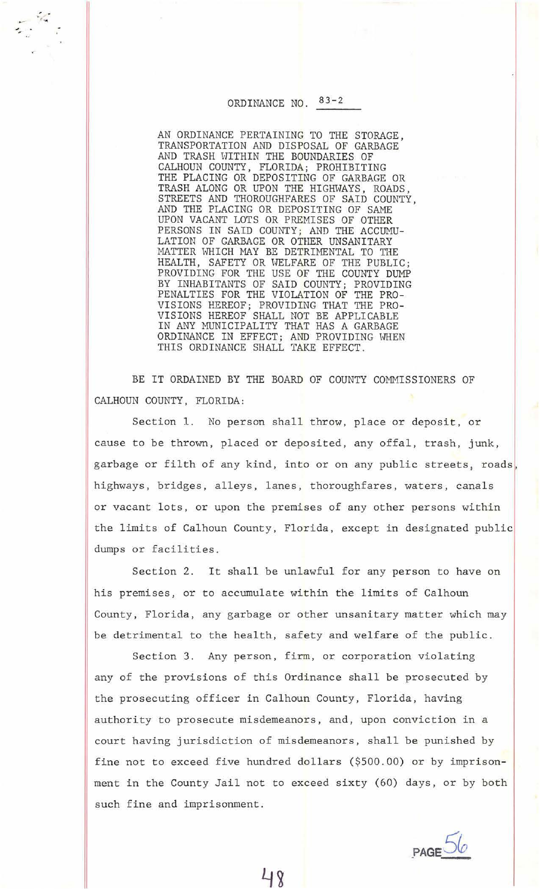## ORDINANCE  $NO.$  83-2

 $\frac{1}{2}$  .

 $\mathcal{L}$ 

AN ORDINANCE PERTAINING TO THE STORAGE, TRANSPORTATION AND DISPOSAL OF GARBAGE AND TRASH WITHIN THE BOUNDARIES OF CALHOUN COUNTY, FLORIDA; PROHIBITING THE PLACING OR DEPOSITING OF GARBAGE OR TRASH ALONG OR UPON THE HIGHWAYS, ROADS STREETS AND THOROUGHFARES OF SAID COUNTY, AND THE PLACING OR DEPOSITING OF SAME UPON VACANT LOTS OR PREMISES OF OTHER PERSONS IN SAID COUNTY; AND THE ACCUMU-LATION OF GARBAGE OR OTHER UNSANITARY MATTER WHICH MAY BE DETRIMENTAL TO THE HEALTH, SAFETY OR WELFARE OF THE PUBLIC; PROVIDING FOR THE USE OF THE COUNTY DUMP BY INHABITANTS OF SAID COUNTY; PROVIDING PENALTIES FOR THE VIOLATION OF THE PRO-VISIONS HEREOF; PROVIDING THAT THE PRO-VISIONS HEREOF SHALL NOT BE APPLICABLE IN ANY MUNICIPALITY THAT HAS A GARBAGE ORDINANCE IN EFFECT; AND PROVIDING WHEN THIS ORDINANCE SHALL TAKE EFFECT.

BE IT ORDAINED BY THE BOARD OF COUNTY COMMISSIONERS OF CALHOUN COUNTY, FLORIDA:

Section 1. No person shall throw, place or deposit, or cause to be thrown, placed or deposited, any offal, trash, junk, garbage or filth of any kind, into or on any public streets, roads, highways, bridges, alleys, lanes, thoroughfares, waters, canals or vacant lots, or upon the premises of any other persons within the limits of Calhoun County, Florida, except in designated public dumps or facilities.

Section 2. It shall be unlawful for any person to have on his premises, or to accumulate within the limits of Calhoun County, Florida, any garbage or other unsanitary matter which may be detrimental to the health, safety and welfare of the public.

Section 3. Any person, firm, or corporation violating any of the provisions of this Ordinance shall be prosecuted by the prosecuting officer in Calhoun County, Florida, having authority to prosecute misdemeanors, and, upon conviction in a court having jurisdiction of misdemeanors, shall be punished by fine not to exceed five hundred dollars (\$500.00) or by imprisonment in the County Jail not to exceed sixty (60) days, or by both such fine and imprisonment.

 $PAGE56$